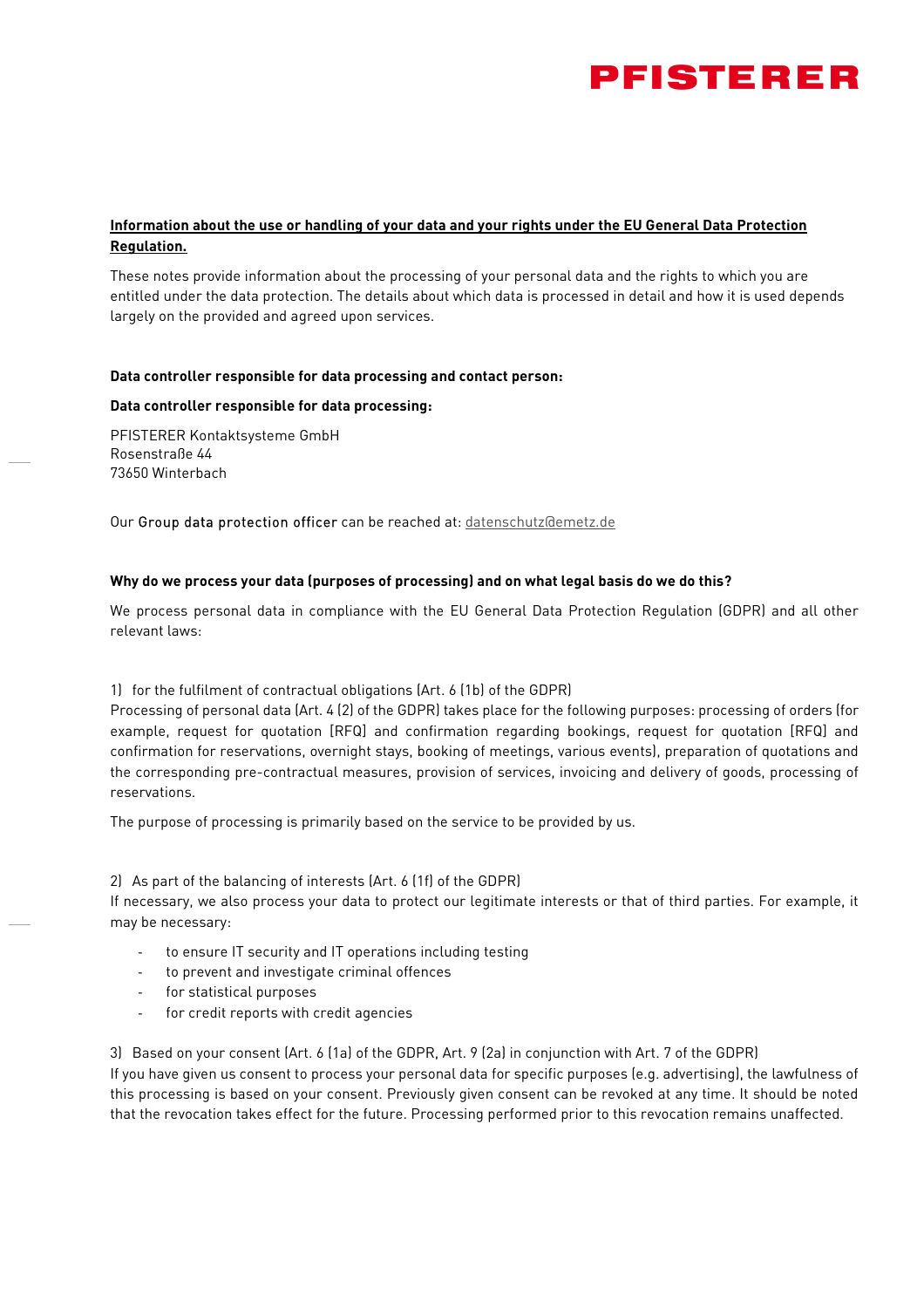

# **Information about the use or handling of your data and your rights under the EU General Data Protection Regulation.**

These notes provide information about the processing of your personal data and the rights to which you are entitled under the data protection. The details about which data is processed in detail and how it is used depends largely on the provided and agreed upon services.

## **Data controller responsible for data processing and contact person:**

## **Data controller responsible for data processing:**

PFISTERER Kontaktsysteme GmbH Rosenstraße 44 73650 Winterbach

Our Group data protection officer can be reached at: datenschutz@emetz.de

## **Why do we process your data (purposes of processing) and on what legal basis do we do this?**

We process personal data in compliance with the EU General Data Protection Regulation (GDPR) and all other relevant laws:

1) for the fulfilment of contractual obligations (Art. 6 (1b) of the GDPR)

Processing of personal data (Art. 4 (2) of the GDPR) takes place for the following purposes: processing of orders (for example, request for quotation [RFQ] and confirmation regarding bookings, request for quotation [RFQ] and confirmation for reservations, overnight stays, booking of meetings, various events), preparation of quotations and the corresponding pre-contractual measures, provision of services, invoicing and delivery of goods, processing of reservations.

The purpose of processing is primarily based on the service to be provided by us.

2) As part of the balancing of interests (Art. 6 (1f) of the GDPR)

If necessary, we also process your data to protect our legitimate interests or that of third parties. For example, it may be necessary:

- to ensure IT security and IT operations including testing
- to prevent and investigate criminal offences
- for statistical purposes
- for credit reports with credit agencies

3) Based on your consent (Art. 6 (1a) of the GDPR, Art. 9 (2a) in conjunction with Art. 7 of the GDPR)

If you have given us consent to process your personal data for specific purposes (e.g. advertising), the lawfulness of this processing is based on your consent. Previously given consent can be revoked at any time. It should be noted that the revocation takes effect for the future. Processing performed prior to this revocation remains unaffected.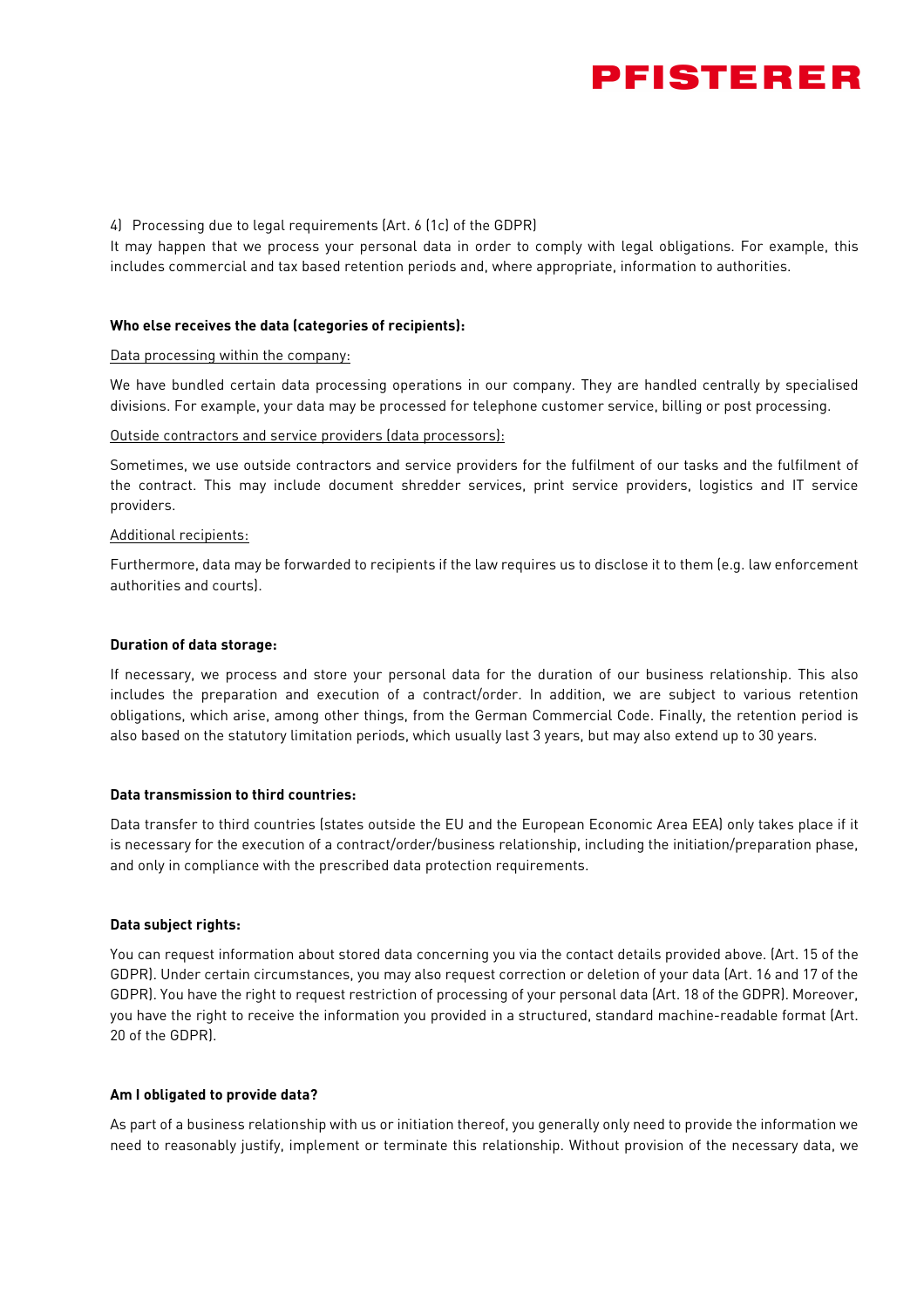

## 4) Processing due to legal requirements (Art. 6 (1c) of the GDPR)

It may happen that we process your personal data in order to comply with legal obligations. For example, this includes commercial and tax based retention periods and, where appropriate, information to authorities.

#### **Who else receives the data (categories of recipients):**

#### Data processing within the company:

We have bundled certain data processing operations in our company. They are handled centrally by specialised divisions. For example, your data may be processed for telephone customer service, billing or post processing.

#### Outside contractors and service providers (data processors):

Sometimes, we use outside contractors and service providers for the fulfilment of our tasks and the fulfilment of the contract. This may include document shredder services, print service providers, logistics and IT service providers.

#### Additional recipients:

Furthermore, data may be forwarded to recipients if the law requires us to disclose it to them (e.g. law enforcement authorities and courts).

#### **Duration of data storage:**

If necessary, we process and store your personal data for the duration of our business relationship. This also includes the preparation and execution of a contract/order. In addition, we are subject to various retention obligations, which arise, among other things, from the German Commercial Code. Finally, the retention period is also based on the statutory limitation periods, which usually last 3 years, but may also extend up to 30 years.

## **Data transmission to third countries:**

Data transfer to third countries (states outside the EU and the European Economic Area EEA) only takes place if it is necessary for the execution of a contract/order/business relationship, including the initiation/preparation phase, and only in compliance with the prescribed data protection requirements.

## **Data subject rights:**

You can request information about stored data concerning you via the contact details provided above. (Art. 15 of the GDPR). Under certain circumstances, you may also request correction or deletion of your data (Art. 16 and 17 of the GDPR). You have the right to request restriction of processing of your personal data (Art. 18 of the GDPR). Moreover, you have the right to receive the information you provided in a structured, standard machine-readable format (Art. 20 of the GDPR).

#### **Am I obligated to provide data?**

As part of a business relationship with us or initiation thereof, you generally only need to provide the information we need to reasonably justify, implement or terminate this relationship. Without provision of the necessary data, we